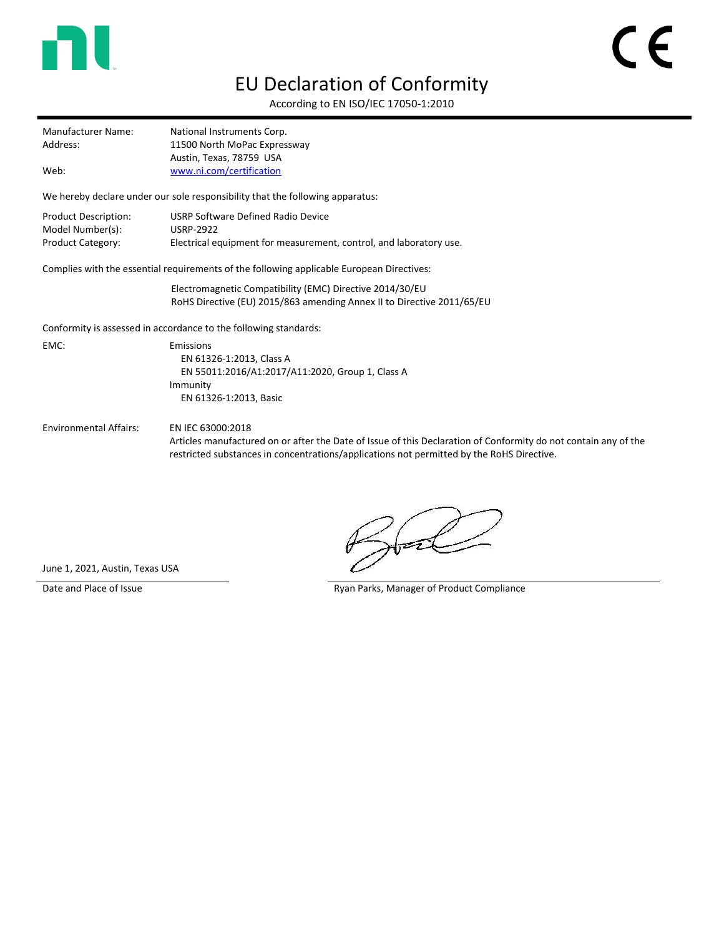

## EU Declaration of Conformity

According to EN ISO/IEC 17050-1:2010

Manufacturer Name: National Instruments Corp. Address: 11500 North MoPac Expressway Austin, Texas, 78759 USA Web: [www.ni.com/certification](http://www.ni.com/certification)

We hereby declare under our sole responsibility that the following apparatus:

| Product Description: | USRP Software Defined Radio Device                                 |
|----------------------|--------------------------------------------------------------------|
| Model Number(s):     | <b>USRP-2922</b>                                                   |
| Product Category:    | Electrical equipment for measurement, control, and laboratory use. |

Complies with the essential requirements of the following applicable European Directives:

Electromagnetic Compatibility (EMC) Directive 2014/30/EU RoHS Directive (EU) 2015/863 amending Annex II to Directive 2011/65/EU

Conformity is assessed in accordance to the following standards:

EMC: Emissions EN 61326-1:2013, Class A EN 55011:2016/A1:2017/A11:2020, Group 1, Class A Immunity EN 61326-1:2013, Basic

Environmental Affairs: EN IEC 63000:2018

Articles manufactured on or after the Date of Issue of this Declaration of Conformity do not contain any of the restricted substances in concentrations/applications not permitted by the RoHS Directive.

June 1, 2021, Austin, Texas USA

Date and Place of Issue **Ryan Parks, Manager of Product Compliance** Ryan Parks, Manager of Product Compliance